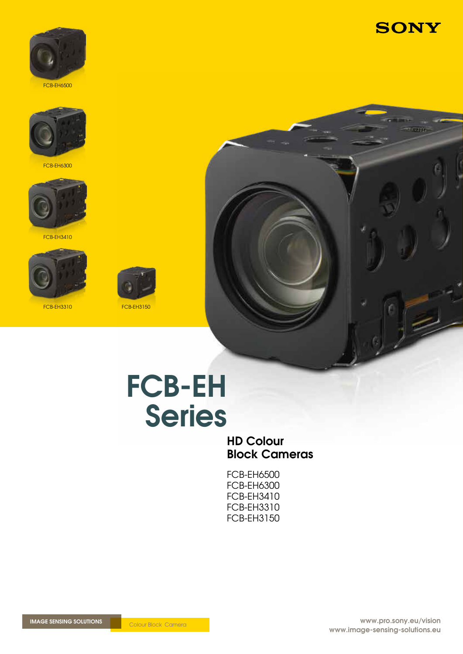







FCB-EH6300



FCB-EH3410



FCB-EH3310 FCB-EH3150





# FCB-EH Series

HD Colour Block Cameras

FCB-EH6500 FCB-EH6300 FCB-EH3410 FCB-EH3310 FCB-EH3150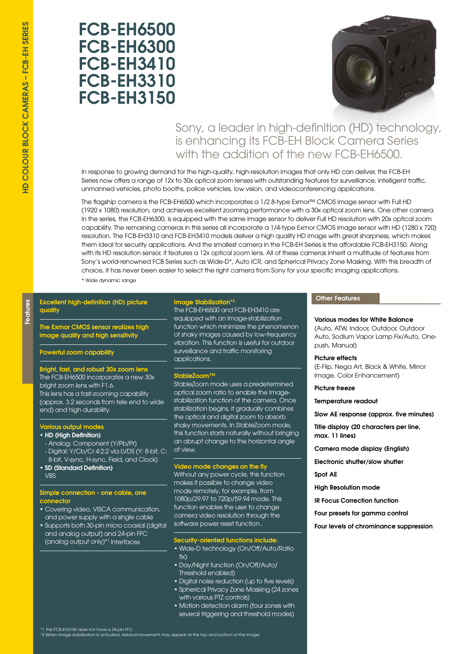## FCB-EH6500 FCB-EH6300 FCB-EH3410 FCB-EH3310 FCB-EH3150



### Sony, a leader in high-definition (HD) technology, is enhancing its FCB-EH Block Camera Series with the addition of the new FCB-FH6500.

In response to growing demand for the high-quality, high-resolution images that only HD can deliver, the FCB-EH Series now offers a range of 12x to 30x optical zoom lenses with outstanding features for surveillance, intelligent traffic, unmanned vehicles, photo booths, police vehicles, low vision, and videoconferencing applications.

The flagship camera is the FCB-EH6500 which incorporates a 1/2.8-type Exmor™ CMOS image sensor with Full HD (1920 x 1080) resolution, and achieves excellent zooming performance with a 30x optical zoom lens. One other camera in the series, the FCB-EH6300, is equipped with the same image sensor to deliver Full HD resolution with 20x optical zoom capability. The remaining cameras in this series all incorporate a 1/4-type Exmor CMOS image sensor with HD (1280 x 720) resolution. The FCB-EH3310 and FCB-EH3410 models deliver a high quality HD image with great sharpness, which makes them ideal for security applications. And the smallest camera in the FCB-EH Series is the affordable FCB-EH3150. Along with its HD resolution sensor, it features a 12x optical zoom lens. All of these cameras inherit a multitude of features from Sony's world-renowned FCB Series such as Wide-D\*, Auto ICR, and Spherical Privacy Zone Masking. With this breadth of choice, it has never been easier to select the right camera from Sony for your specific imaging applications.

\* Wide dynamic range

#### Excellent high-definition (HD) picture quality

The Exmor CMOS sensor realizes high image quality and high sensitivity

#### Powerful zoom capability

Bright, fast, and robust 30x zoom lens The FCB-EH6500 incorporates a new 30x bright zoom lens with F1.6. This lens has a fast-zooming capability (approx. 3.2 seconds from tele end to wide end) and high durability.

#### Various output modes

- HD (High Definition)
- Analog: Component (Y/Pb/Pr) - Digital: Y/Cb/Cr 4:2:2 via LVDS (Y: 8-bit, C: 8-bit, V-sync, H-sync, Field, and Clock)
- SD (Standard Definition) VBS

#### Simple connection - one cable, one connector

- Covering video, VISCA communication, and power supply with a single cable
- Supports both 30-pin micro coaxial (digital and analog output) and 24-pin FFC (analog output only)\*1 interfaces

#### Image Stabilization\*<sup>2</sup>

The FCB-EH6500 and FCB-EH3410 are equipped with an Image-stabilization function which minimizes the phenomenon of shaky images caused by low-frequency vibration. This function is useful for outdoor surveillance and traffic monitoring applications.

#### StableZoom™

StableZoom mode uses a predetermined optical zoom ratio to enable the Imagestabilization function of the camera. Once stabilization begins, it gradually combines the optical and digital zoom to absorb shaky movements. In StableZoom mode, this function starts naturally without bringing an abrupt change to the horizontal angle of view.

#### Video mode changes on the fly

Without any power cycle, this function makes it possible to change video mode remotely, for example, from 1080p/29.97 to 720p/59.94 mode. This function enables the user to change camera video resolution through the software power reset function..

#### Security-oriented functions include:

- Wide-D technology (On/Off/Auto/Ratio fix)
- Day/Night function (On/Off/Auto/ Threshold enabled)
- Digital noise reduction (up to five levels) • Spherical Privacy Zone Masking (24 zones
- with various PTZ controls) • Motion detection alarm (four zones with several triggering and threshold modes)

#### Other Features

#### Various modes for White Balance

(Auto, ATW, Indoor, Outdoor, Outdoor Auto, Sodium Vapor Lamp Fix/Auto, Onepush, Manual)

#### Picture effects

(E-Flip, Nega Art, Black & White, Mirror Image, Color Enhancement)

#### Picture freeze

Temperature readout

Slow AE response (approx. five minutes)

Title display (20 characters per line, max. 11 lines)

Camera mode display (English)

Electronic shutter/slow shutter

Spot AE

High Resolution mode

IR Focus Correction function

Four presets for gamma control

Four levels of chrominance suppression

\*1 The FCB-EH3150 does not have a 24-pin FFC.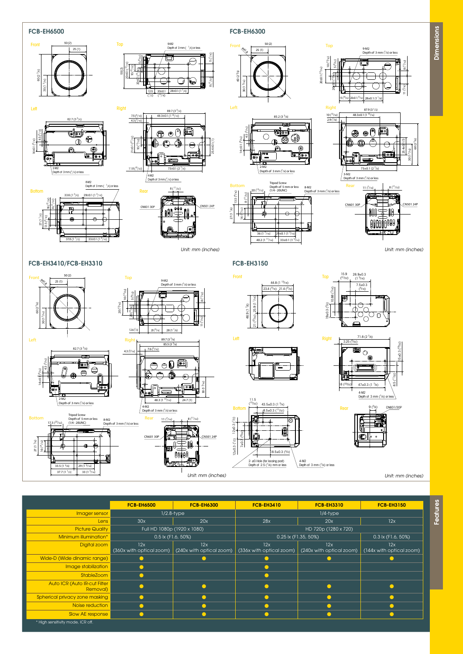

|                                                 | <b>FCB-EH6500</b>               | <b>FCB-EH6300</b>               | <b>FCB-EH3410</b>               | <b>FCB-EH3310</b>               | <b>FCB-EH3150</b>               |
|-------------------------------------------------|---------------------------------|---------------------------------|---------------------------------|---------------------------------|---------------------------------|
| Imager sensor                                   | $1/2.8$ -type                   |                                 | $1/4$ -type                     |                                 |                                 |
| Lens                                            | 30x                             | 20x                             | 28x                             | 20x                             | 12x                             |
| <b>Picture Quality</b>                          | Full HD 1080p (1920 x 1080)     |                                 | HD 720p (1280 x 720)            |                                 |                                 |
| Minimum illumination*                           | 0.5 lx (F1.6, 50%)              |                                 | 0.25 lx (F1.35, 50%)            |                                 | 0.3 lx (F1.6, 50%)              |
| Digital zoom                                    | 12x<br>(360x with optical zoom) | 12x<br>(240x with optical zoom) | 12x<br>(336x with optical zoom) | 12x<br>(240x with optical zoom) | 12x<br>(144x with optical zoom) |
| Wide-D (Wide dinamic range)                     |                                 |                                 |                                 |                                 |                                 |
| Image stabilization                             |                                 |                                 |                                 |                                 |                                 |
| <b>StableZoom</b>                               |                                 |                                 |                                 |                                 |                                 |
| <b>Auto ICR (Auto IR-cut Filter</b><br>Removal) |                                 |                                 |                                 |                                 |                                 |
| Spherical privacy zone masking                  |                                 |                                 |                                 |                                 |                                 |
| Noise reduction                                 |                                 |                                 |                                 |                                 |                                 |
| <b>Slow AE response</b>                         |                                 |                                 |                                 |                                 |                                 |
| * High sensitivity mode, ICR off.               |                                 |                                 |                                 |                                 |                                 |

**Features** 

**Features**